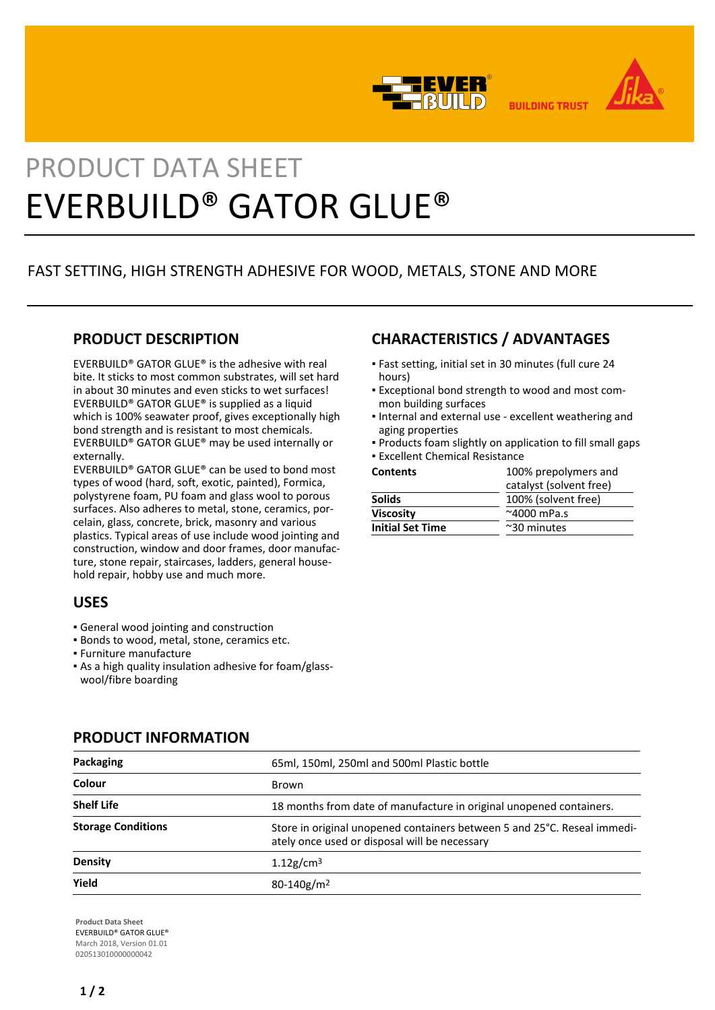



**BUILDING TRUST** 

# PRODUCT DATA SHEET EVERBUILD® GATOR GLUE®

# FAST SETTING, HIGH STRENGTH ADHESIVE FOR WOOD, METALS, STONE AND MORE

## **PRODUCT DESCRIPTION**

EVERBUILD® GATOR GLUE® is the adhesive with real bite. It sticks to most common substrates, will set hard in about 30 minutes and even sticks to wet surfaces! EVERBUILD® GATOR GLUE® is supplied as a liquid which is 100% seawater proof, gives exceptionally high bond strength and is resistant to most chemicals. EVERBUILD® GATOR GLUE® may be used internally or externally.

EVERBUILD® GATOR GLUE® can be used to bond most types of wood (hard, soft, exotic, painted), Formica, polystyrene foam, PU foam and glass wool to porous surfaces. Also adheres to metal, stone, ceramics, porcelain, glass, concrete, brick, masonry and various plastics. Typical areas of use include wood jointing and construction, window and door frames, door manufacture, stone repair, staircases, ladders, general household repair, hobby use and much more.

## **USES**

- **General wood jointing and construction**
- **· Bonds to wood, metal, stone, ceramics etc.**
- Furniture manufacture
- As a high quality insulation adhesive for foam/glass-▪ wool/fibre boarding

# Packaging **Packaging** 65ml, 150ml, 250ml and 500ml Plastic bottle **Colour** Brown **Shelf Life** 18 months from date of manufacture in original unopened containers. **Storage Conditions** Store in original unopened containers between 5 and 25°C. Reseal immediately once used or disposal will be necessary **Density** 1.12g/cm<sup>3</sup> **Yield** 80-140g/m<sup>2</sup>

### **PRODUCT INFORMATION**

**Product Data Sheet** EVERBUILD® GATOR GLUE® March 2018, Version 01.01 020513010000000042

## **CHARACTERISTICS / ADVANTAGES**

- Fast setting, initial set in 30 minutes (full cure 24 hours)
- Exceptional bond strength to wood and most com-▪ mon building surfaces
- **.** Internal and external use excellent weathering and aging properties
- Products foam slightly on application to fill small gaps
- **Excellent Chemical Resistance**

| <b>Contents</b>         | 100% prepolymers and    |
|-------------------------|-------------------------|
|                         | catalyst (solvent free) |
| <b>Solids</b>           | 100% (solvent free)     |
| <b>Viscosity</b>        | $~^{\sim}$ 4000 mPa.s   |
| <b>Initial Set Time</b> | $~\sim$ 30 minutes      |
|                         |                         |